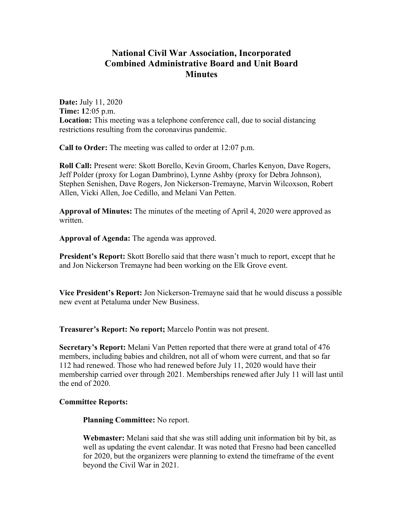## **National Civil War Association, Incorporated Combined Administrative Board and Unit Board Minutes**

**Date:** July 11, 2020 **Time: 1**2:05 p.m. **Location:** This meeting was a telephone conference call, due to social distancing restrictions resulting from the coronavirus pandemic.

**Call to Order:** The meeting was called to order at 12:07 p.m.

**Roll Call:** Present were: Skott Borello, Kevin Groom, Charles Kenyon, Dave Rogers, Jeff Polder (proxy for Logan Dambrino), Lynne Ashby (proxy for Debra Johnson), Stephen Senishen, Dave Rogers, Jon Nickerson-Tremayne, Marvin Wilcoxson, Robert Allen, Vicki Allen, Joe Cedillo, and Melani Van Petten.

**Approval of Minutes:** The minutes of the meeting of April 4, 2020 were approved as written.

**Approval of Agenda:** The agenda was approved.

**President's Report:** Skott Borello said that there wasn't much to report, except that he and Jon Nickerson Tremayne had been working on the Elk Grove event.

**Vice President's Report:** Jon Nickerson-Tremayne said that he would discuss a possible new event at Petaluma under New Business.

**Treasurer's Report: No report;** Marcelo Pontin was not present.

**Secretary's Report:** Melani Van Petten reported that there were at grand total of 476 members, including babies and children, not all of whom were current, and that so far 112 had renewed. Those who had renewed before July 11, 2020 would have their membership carried over through 2021. Memberships renewed after July 11 will last until the end of 2020.

## **Committee Reports:**

**Planning Committee:** No report.

**Webmaster:** Melani said that she was still adding unit information bit by bit, as well as updating the event calendar. It was noted that Fresno had been cancelled for 2020, but the organizers were planning to extend the timeframe of the event beyond the Civil War in 2021.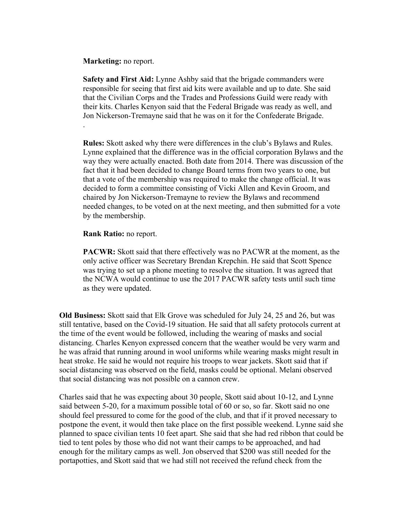**Marketing:** no report.

**Safety and First Aid:** Lynne Ashby said that the brigade commanders were responsible for seeing that first aid kits were available and up to date. She said that the Civilian Corps and the Trades and Professions Guild were ready with their kits. Charles Kenyon said that the Federal Brigade was ready as well, and Jon Nickerson-Tremayne said that he was on it for the Confederate Brigade. .

**Rules:** Skott asked why there were differences in the club's Bylaws and Rules. Lynne explained that the difference was in the official corporation Bylaws and the way they were actually enacted. Both date from 2014. There was discussion of the fact that it had been decided to change Board terms from two years to one, but that a vote of the membership was required to make the change official. It was decided to form a committee consisting of Vicki Allen and Kevin Groom, and chaired by Jon Nickerson-Tremayne to review the Bylaws and recommend needed changes, to be voted on at the next meeting, and then submitted for a vote by the membership.

**Rank Ratio:** no report.

**PACWR:** Skott said that there effectively was no PACWR at the moment, as the only active officer was Secretary Brendan Krepchin. He said that Scott Spence was trying to set up a phone meeting to resolve the situation. It was agreed that the NCWA would continue to use the 2017 PACWR safety tests until such time as they were updated.

**Old Business:** Skott said that Elk Grove was scheduled for July 24, 25 and 26, but was still tentative, based on the Covid-19 situation. He said that all safety protocols current at the time of the event would be followed, including the wearing of masks and social distancing. Charles Kenyon expressed concern that the weather would be very warm and he was afraid that running around in wool uniforms while wearing masks might result in heat stroke. He said he would not require his troops to wear jackets. Skott said that if social distancing was observed on the field, masks could be optional. Melani observed that social distancing was not possible on a cannon crew.

Charles said that he was expecting about 30 people, Skott said about 10-12, and Lynne said between 5-20, for a maximum possible total of 60 or so, so far. Skott said no one should feel pressured to come for the good of the club, and that if it proved necessary to postpone the event, it would then take place on the first possible weekend. Lynne said she planned to space civilian tents 10 feet apart. She said that she had red ribbon that could be tied to tent poles by those who did not want their camps to be approached, and had enough for the military camps as well. Jon observed that \$200 was still needed for the portapotties, and Skott said that we had still not received the refund check from the